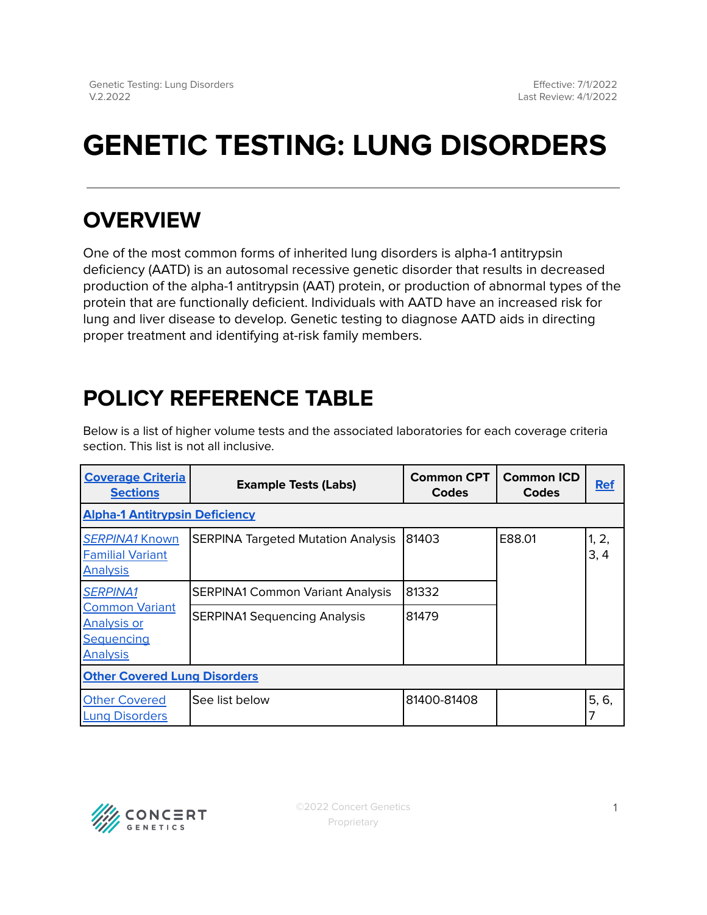# **GENETIC TESTING: LUNG DISORDERS**

### **OVERVIEW**

One of the most common forms of inherited lung disorders is alpha-1 antitrypsin deficiency (AATD) is an autosomal recessive genetic disorder that results in decreased production of the alpha-1 antitrypsin (AAT) protein, or production of abnormal types of the protein that are functionally deficient. Individuals with AATD have an increased risk for lung and liver disease to develop. Genetic testing to diagnose AATD aids in directing proper treatment and identifying at-risk family members.

## <span id="page-0-0"></span>**POLICY REFERENCE TABLE**

Below is a list of higher volume tests and the associated laboratories for each coverage criteria section. This list is not all inclusive.

| <b>Coverage Criteria</b><br><b>Sections</b>                                  | <b>Example Tests (Labs)</b>               | <b>Common CPT</b><br><b>Codes</b> | <b>Common ICD</b><br>Codes | <b>Ref</b>    |
|------------------------------------------------------------------------------|-------------------------------------------|-----------------------------------|----------------------------|---------------|
| <b>Alpha-1 Antitrypsin Deficiency</b>                                        |                                           |                                   |                            |               |
| <b>SERPINA1 Known</b><br><b>Familial Variant</b><br><b>Analysis</b>          | <b>SERPINA Targeted Mutation Analysis</b> | 81403                             | E88.01                     | 1, 2,<br>3, 4 |
| <b>SERPINA1</b>                                                              | <b>SERPINA1 Common Variant Analysis</b>   | 81332                             |                            |               |
| <b>Common Variant</b><br><b>Analysis or</b><br>Sequencing<br><b>Analysis</b> | <b>SERPINA1 Sequencing Analysis</b>       | 81479                             |                            |               |
| <b>Other Covered Lung Disorders</b>                                          |                                           |                                   |                            |               |
| <b>Other Covered</b><br><b>Lung Disorders</b>                                | See list below                            | 81400-81408                       |                            | 5, 6,         |

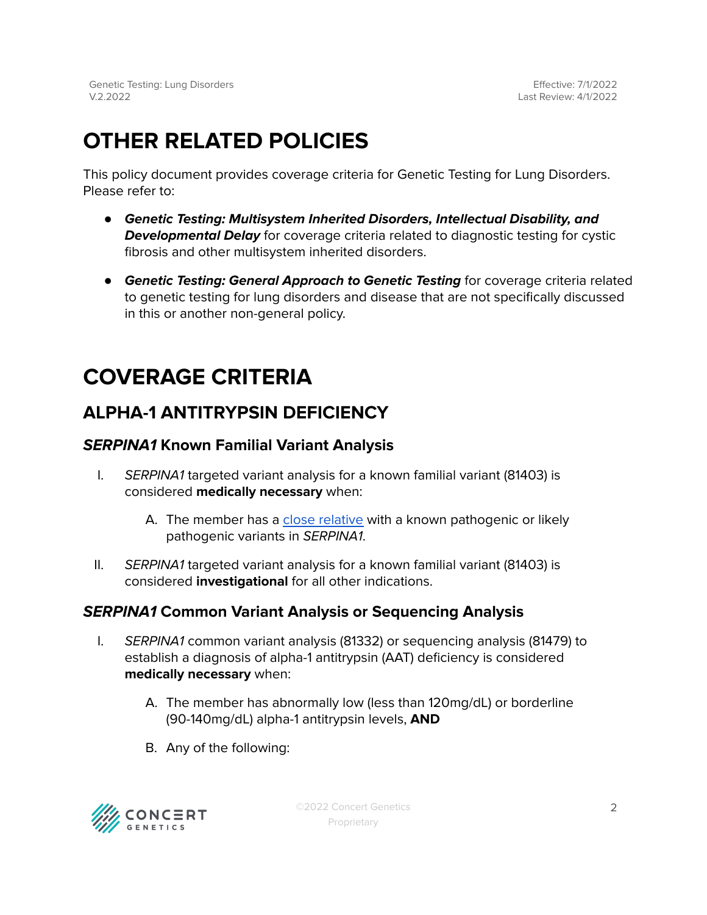## **OTHER RELATED POLICIES**

This policy document provides coverage criteria for Genetic Testing for Lung Disorders. Please refer to:

- **Genetic Testing: Multisystem Inherited Disorders, Intellectual Disability, and Developmental Delay** for coverage criteria related to diagnostic testing for cystic fibrosis and other multisystem inherited disorders.
- **Genetic Testing: General Approach to Genetic Testing** for coverage criteria related to genetic testing for lung disorders and disease that are not specifically discussed in this or another non-general policy.

## <span id="page-1-0"></span>**COVERAGE CRITERIA**

### <span id="page-1-1"></span>**ALPHA-1 ANTITRYPSIN DEFICIENCY**

### <span id="page-1-2"></span>**SERPINA1 Known Familial Variant Analysis**

- I. SERPINA1 targeted variant analysis for a known familial variant (81403) is considered **medically necessary** when:
	- A. The member has a close [relative](#page-3-0) with a known pathogenic or likely pathogenic variants in SERPINA1.
- II. SERPINA1 targeted variant analysis for a known familial variant (81403) is considered **investigational** for all other indications.

### <span id="page-1-3"></span>**SERPINA1 Common Variant Analysis or Sequencing Analysis**

- I. SERPINA1 common variant analysis (81332) or sequencing analysis (81479) to establish a diagnosis of alpha-1 antitrypsin (AAT) deficiency is considered **medically necessary** when:
	- A. The member has abnormally low (less than 120mg/dL) or borderline (90-140mg/dL) alpha-1 antitrypsin levels, **AND**
	- B. Any of the following:

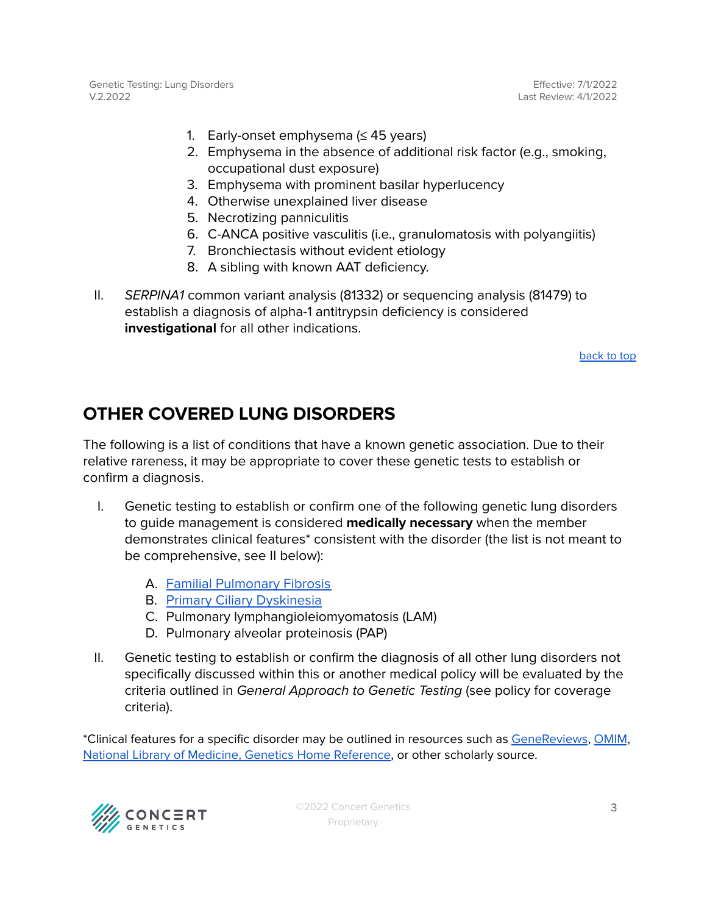Effective: 7/1/2022 Last Review: 4/1/2022

- 1. Early-onset emphysema  $(≤ 45$  years)
- 2. Emphysema in the absence of additional risk factor (e.g., smoking, occupational dust exposure)
- 3. Emphysema with prominent basilar hyperlucency
- 4. Otherwise unexplained liver disease
- 5. Necrotizing panniculitis
- 6. C-ANCA positive vasculitis (i.e., granulomatosis with polyangiitis)
- 7. Bronchiectasis without evident etiology
- 8. A sibling with known AAT deficiency.
- II. SERPINA1 common variant analysis (81332) or sequencing analysis (81479) to establish a diagnosis of alpha-1 antitrypsin deficiency is considered **investigational** for all other indications.

[back](#page-0-0) to top

### <span id="page-2-0"></span>**OTHER COVERED LUNG DISORDERS**

The following is a list of conditions that have a known genetic association. Due to their relative rareness, it may be appropriate to cover these genetic tests to establish or confirm a diagnosis.

- I. Genetic testing to establish or confirm one of the following genetic lung disorders to guide management is considered **medically necessary** when the member demonstrates clinical features\* consistent with the disorder (the list is not meant to be comprehensive, see II below):
	- A. Familial [Pulmonary](https://www.ncbi.nlm.nih.gov/books/NBK1230/) Fibrosis
	- B. Primary Ciliary [Dyskinesia](https://www.ncbi.nlm.nih.gov/books/NBK1122/)
	- C. Pulmonary lymphangioleiomyomatosis (LAM)
	- D. Pulmonary alveolar proteinosis (PAP)
- II. Genetic testing to establish or confirm the diagnosis of all other lung disorders not specifically discussed within this or another medical policy will be evaluated by the criteria outlined in General Approach to Genetic Testing (see policy for coverage criteria).

\*Clinical features for a specific disorder may be outlined in resources such as [GeneReviews](https://www.ncbi.nlm.nih.gov/books/NBK1116/), [OMIM](https://www.omim.org/), National Library of Medicine, Genetics Home [Reference,](https://medlineplus.gov/genetics/) or other scholarly source.



©2022 Concert Genetics Proprietary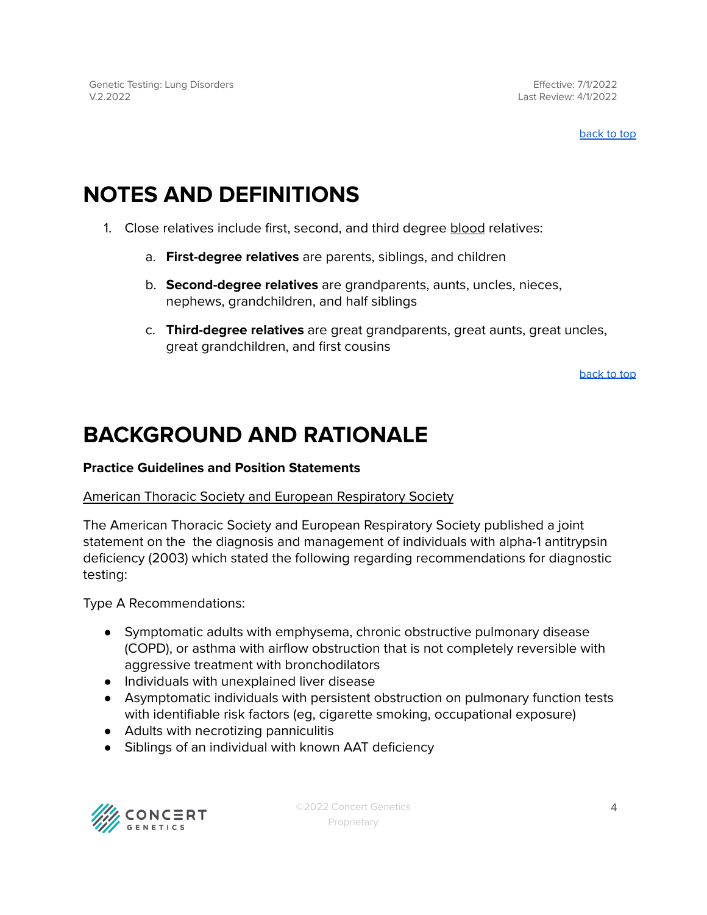[back](#page-0-0) to top

## <span id="page-3-0"></span>**NOTES AND DEFINITIONS**

- 1. Close relatives include first, second, and third degree blood relatives:
	- a. **First-degree relatives** are parents, siblings, and children
	- b. **Second-degree relatives** are grandparents, aunts, uncles, nieces, nephews, grandchildren, and half siblings
	- c. **Third-degree relatives** are great grandparents, great aunts, great uncles, great grandchildren, and first cousins

[back](#page-0-0) to top

### **BACKGROUND AND RATIONALE**

### **Practice Guidelines and Position Statements**

### American Thoracic Society and European Respiratory Society

The American Thoracic Society and European Respiratory Society published a joint statement on the the diagnosis and management of individuals with alpha-1 antitrypsin deficiency (2003) which stated the following regarding recommendations for diagnostic testing:

Type A Recommendations:

- Symptomatic adults with emphysema, chronic obstructive pulmonary disease (COPD), or asthma with airflow obstruction that is not completely reversible with aggressive treatment with bronchodilators
- Individuals with unexplained liver disease
- Asymptomatic individuals with persistent obstruction on pulmonary function tests with identifiable risk factors (eg, cigarette smoking, occupational exposure)
- Adults with necrotizing panniculitis
- Siblings of an individual with known AAT deficiency

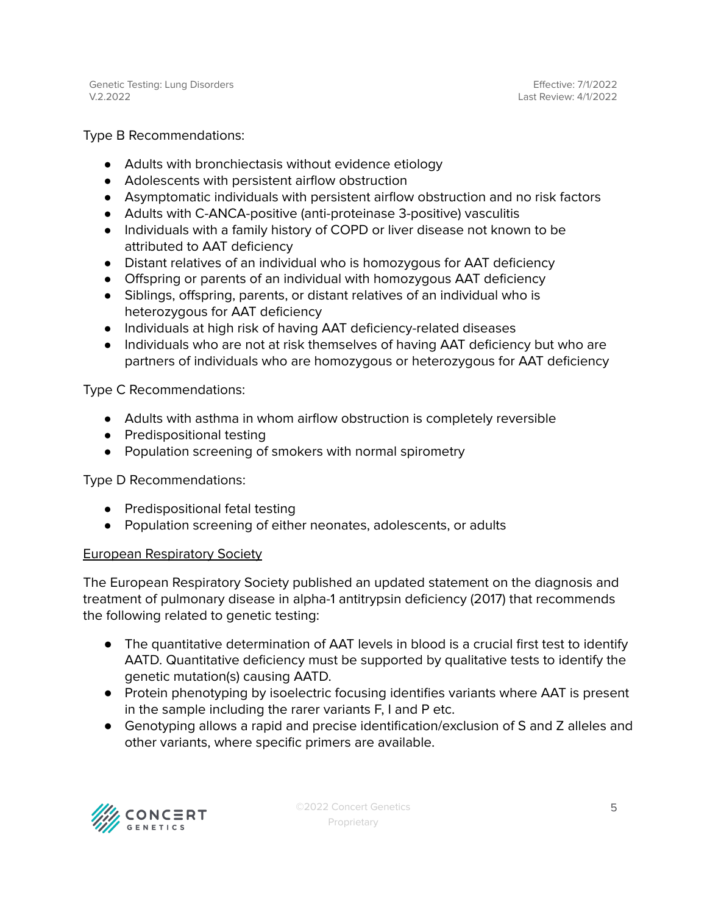Type B Recommendations:

- Adults with bronchiectasis without evidence etiology
- Adolescents with persistent airflow obstruction
- Asymptomatic individuals with persistent airflow obstruction and no risk factors
- Adults with C-ANCA-positive (anti-proteinase 3-positive) vasculitis
- Individuals with a family history of COPD or liver disease not known to be attributed to AAT deficiency
- Distant relatives of an individual who is homozygous for AAT deficiency
- Offspring or parents of an individual with homozygous AAT deficiency
- Siblings, offspring, parents, or distant relatives of an individual who is heterozygous for AAT deficiency
- Individuals at high risk of having AAT deficiency-related diseases
- Individuals who are not at risk themselves of having AAT deficiency but who are partners of individuals who are homozygous or heterozygous for AAT deficiency

Type C Recommendations:

- Adults with asthma in whom airflow obstruction is completely reversible
- Predispositional testing
- Population screening of smokers with normal spirometry

Type D Recommendations:

- Predispositional fetal testing
- Population screening of either neonates, adolescents, or adults

#### European Respiratory Society

The European Respiratory Society published an updated statement on the diagnosis and treatment of pulmonary disease in alpha-1 antitrypsin deficiency (2017) that recommends the following related to genetic testing:

- The quantitative determination of AAT levels in blood is a crucial first test to identify AATD. Quantitative deficiency must be supported by qualitative tests to identify the genetic mutation(s) causing AATD.
- Protein phenotyping by isoelectric focusing identifies variants where AAT is present in the sample including the rarer variants F, I and P etc.
- Genotyping allows a rapid and precise identification/exclusion of S and Z alleles and other variants, where specific primers are available.

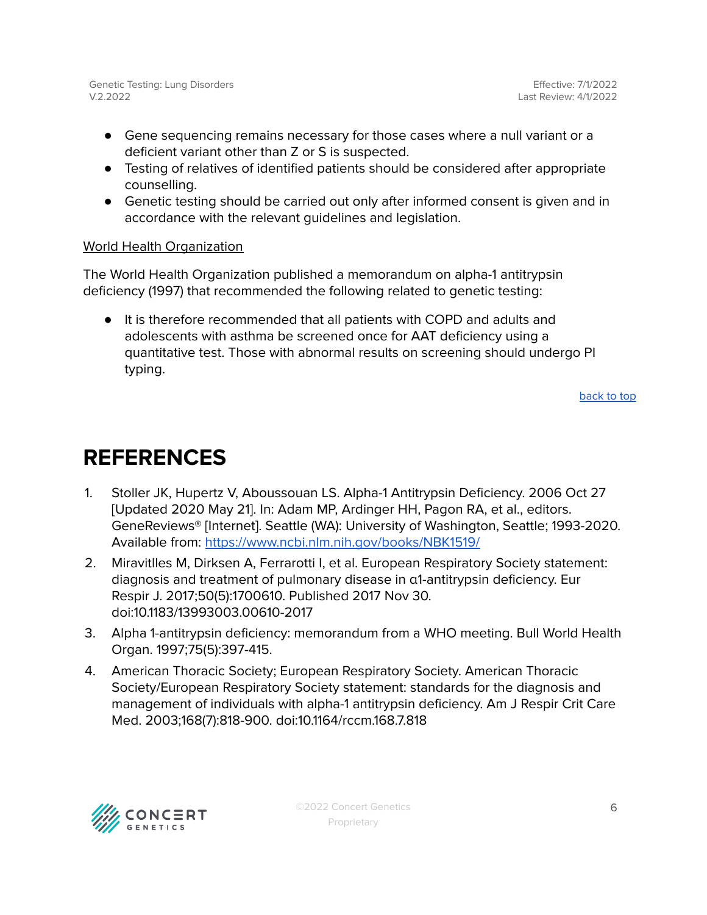- Gene sequencing remains necessary for those cases where a null variant or a deficient variant other than Z or S is suspected.
- Testing of relatives of identified patients should be considered after appropriate counselling.
- Genetic testing should be carried out only after informed consent is given and in accordance with the relevant guidelines and legislation.

### World Health Organization

The World Health Organization published a memorandum on alpha-1 antitrypsin deficiency (1997) that recommended the following related to genetic testing:

● It is therefore recommended that all patients with COPD and adults and adolescents with asthma be screened once for AAT deficiency using a quantitative test. Those with abnormal results on screening should undergo PI typing.

[back](#page-0-0) to top

## <span id="page-5-0"></span>**REFERENCES**

- 1. Stoller JK, Hupertz V, Aboussouan LS. Alpha-1 Antitrypsin Deficiency. 2006 Oct 27 [Updated 2020 May 21]. In: Adam MP, Ardinger HH, Pagon RA, et al., editors. GeneReviews® [Internet]. Seattle (WA): University of Washington, Seattle; 1993-2020. Available from: <https://www.ncbi.nlm.nih.gov/books/NBK1519/>
- 2. Miravitlles M, Dirksen A, Ferrarotti I, et al. European Respiratory Society statement: diagnosis and treatment of pulmonary disease in α1-antitrypsin deficiency. Eur Respir J. 2017;50(5):1700610. Published 2017 Nov 30. doi:10.1183/13993003.00610-2017
- 3. Alpha 1-antitrypsin deficiency: memorandum from a WHO meeting. Bull World Health Organ. 1997;75(5):397-415.
- 4. American Thoracic Society; European Respiratory Society. American Thoracic Society/European Respiratory Society statement: standards for the diagnosis and management of individuals with alpha-1 antitrypsin deficiency. Am J Respir Crit Care Med. 2003;168(7):818-900. doi:10.1164/rccm.168.7.818